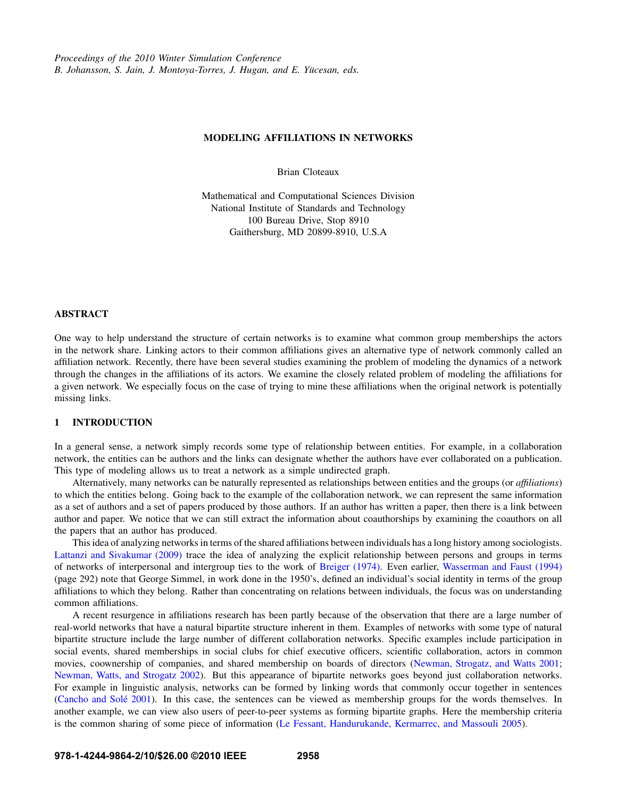#### MODELING AFFILIATIONS IN NETWORKS

Brian Cloteaux

Mathematical and Computational Sciences Division National Institute of Standards and Technology 100 Bureau Drive, Stop 8910 Gaithersburg, MD 20899-8910, U.S.A

### ABSTRACT

One way to help understand the structure of certain networks is to examine what common group memberships the actors in the network share. Linking actors to their common affiliations gives an alternative type of network commonly called an affiliation network. Recently, there have been several studies examining the problem of modeling the dynamics of a network through the changes in the affiliations of its actors. We examine the closely related problem of modeling the affiliations for a given network. We especially focus on the case of trying to mine these affiliations when the original network is potentially missing links.

## 1 INTRODUCTION

In a general sense, a network simply records some type of relationship between entities. For example, in a collaboration network, the entities can be authors and the links can designate whether the authors have ever collaborated on a publication. This type of modeling allows us to treat a network as a simple undirected graph.

Alternatively, many networks can be naturally represented as relationships between entities and the groups (or *affiliations*) to which the entities belong. Going back to the example of the collaboration network, we can represent the same information as a set of authors and a set of papers produced by those authors. If an author has written a paper, then there is a link between author and paper. We notice that we can still extract the information about coauthorships by examining the coauthors on all the papers that an author has produced.

This idea of analyzing networks in terms of the shared affiliations between individuals has a long history among sociologists. Lattanzi and Sivakumar (2009) trace the idea of analyzing the explicit relationship between persons and groups in terms of networks of interpersonal and intergroup ties to the work of Breiger (1974). Even earlier, Wasserman and Faust (1994) (page 292) note that George Simmel, in work done in the 1950's, defined an individual's social identity in terms of the group affiliations to which they belong. Rather than concentrating on relations between individuals, the focus was on understanding common affiliations.

A recent resurgence in affiliations research has been partly because of the observation that there are a large number of real-world networks that have a natural bipartite structure inherent in them. Examples of networks with some type of natural bipartite structure include the large number of different collaboration networks. Specific examples include participation in social events, shared memberships in social clubs for chief executive officers, scientific collaboration, actors in common movies, coownership of companies, and shared membership on boards of directors (Newman, Strogatz, and Watts 2001; Newman, Watts, and Strogatz 2002). But this appearance of bipartite networks goes beyond just collaboration networks. For example in linguistic analysis, networks can be formed by linking words that commonly occur together in sentences (Cancho and Solé 2001). In this case, the sentences can be viewed as membership groups for the words themselves. In another example, we can view also users of peer-to-peer systems as forming bipartite graphs. Here the membership criteria is the common sharing of some piece of information (Le Fessant, Handurukande, Kermarrec, and Massouli 2005).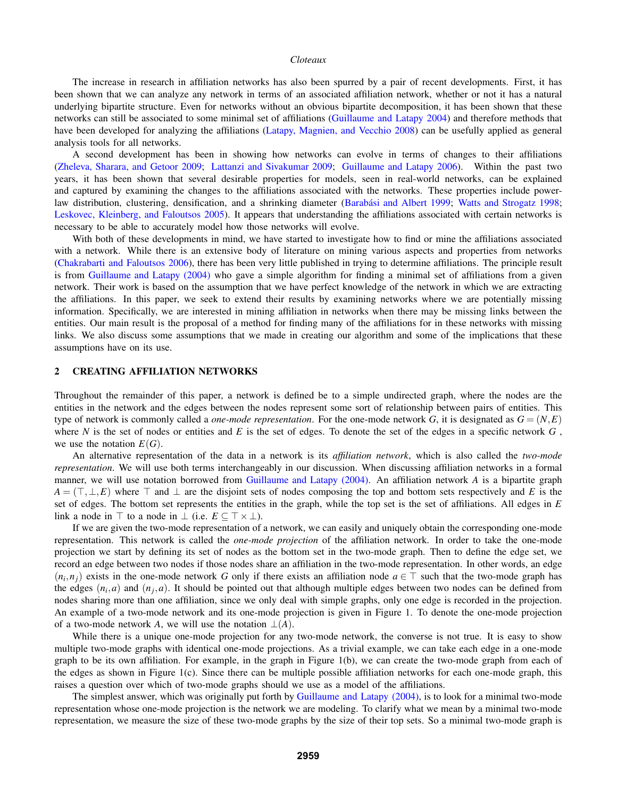The increase in research in affiliation networks has also been spurred by a pair of recent developments. First, it has been shown that we can analyze any network in terms of an associated affiliation network, whether or not it has a natural underlying bipartite structure. Even for networks without an obvious bipartite decomposition, it has been shown that these networks can still be associated to some minimal set of affiliations (Guillaume and Latapy 2004) and therefore methods that have been developed for analyzing the affiliations (Latapy, Magnien, and Vecchio 2008) can be usefully applied as general analysis tools for all networks.

A second development has been in showing how networks can evolve in terms of changes to their affiliations (Zheleva, Sharara, and Getoor 2009; Lattanzi and Sivakumar 2009; Guillaume and Latapy 2006). Within the past two years, it has been shown that several desirable properties for models, seen in real-world networks, can be explained and captured by examining the changes to the affiliations associated with the networks. These properties include powerlaw distribution, clustering, densification, and a shrinking diameter (Barabási and Albert 1999; Watts and Strogatz 1998; Leskovec, Kleinberg, and Faloutsos 2005). It appears that understanding the affiliations associated with certain networks is necessary to be able to accurately model how those networks will evolve.

With both of these developments in mind, we have started to investigate how to find or mine the affiliations associated with a network. While there is an extensive body of literature on mining various aspects and properties from networks (Chakrabarti and Faloutsos 2006), there has been very little published in trying to determine affiliations. The principle result is from Guillaume and Latapy (2004) who gave a simple algorithm for finding a minimal set of affiliations from a given network. Their work is based on the assumption that we have perfect knowledge of the network in which we are extracting the affiliations. In this paper, we seek to extend their results by examining networks where we are potentially missing information. Specifically, we are interested in mining affiliation in networks when there may be missing links between the entities. Our main result is the proposal of a method for finding many of the affiliations for in these networks with missing links. We also discuss some assumptions that we made in creating our algorithm and some of the implications that these assumptions have on its use.

### 2 CREATING AFFILIATION NETWORKS

Throughout the remainder of this paper, a network is defined be to a simple undirected graph, where the nodes are the entities in the network and the edges between the nodes represent some sort of relationship between pairs of entities. This type of network is commonly called a *one-mode representation*. For the one-mode network *G*, it is designated as  $G = (N, E)$ where  $N$  is the set of nodes or entities and  $E$  is the set of edges. To denote the set of the edges in a specific network  $G$ , we use the notation  $E(G)$ .

An alternative representation of the data in a network is its *affiliation network*, which is also called the *two-mode representation*. We will use both terms interchangeably in our discussion. When discussing affiliation networks in a formal manner, we will use notation borrowed from Guillaume and Latapy (2004). An affiliation network *A* is a bipartite graph  $A = (\top, \bot, E)$  where  $\top$  and  $\bot$  are the disjoint sets of nodes composing the top and bottom sets respectively and *E* is the set of edges. The bottom set represents the entities in the graph, while the top set is the set of affiliations. All edges in *E* link a node in  $\top$  to a node in  $\bot$  (i.e.  $E \subseteq \top \times \bot$ ).

If we are given the two-mode representation of a network, we can easily and uniquely obtain the corresponding one-mode representation. This network is called the *one-mode projection* of the affiliation network. In order to take the one-mode projection we start by defining its set of nodes as the bottom set in the two-mode graph. Then to define the edge set, we record an edge between two nodes if those nodes share an affiliation in the two-mode representation. In other words, an edge  $(n_i, n_j)$  exists in the one-mode network *G* only if there exists an affiliation node  $a \in \top$  such that the two-mode graph has the edges  $(n_i, a)$  and  $(n_i, a)$ . It should be pointed out that although multiple edges between two nodes can be defined from nodes sharing more than one affiliation, since we only deal with simple graphs, only one edge is recorded in the projection. An example of a two-mode network and its one-mode projection is given in Figure 1. To denote the one-mode projection of a two-mode network *A*, we will use the notation  $\perp(A)$ .

While there is a unique one-mode projection for any two-mode network, the converse is not true. It is easy to show multiple two-mode graphs with identical one-mode projections. As a trivial example, we can take each edge in a one-mode graph to be its own affiliation. For example, in the graph in Figure 1(b), we can create the two-mode graph from each of the edges as shown in Figure 1(c). Since there can be multiple possible affiliation networks for each one-mode graph, this raises a question over which of two-mode graphs should we use as a model of the affiliations.

The simplest answer, which was originally put forth by Guillaume and Latapy (2004), is to look for a minimal two-mode representation whose one-mode projection is the network we are modeling. To clarify what we mean by a minimal two-mode representation, we measure the size of these two-mode graphs by the size of their top sets. So a minimal two-mode graph is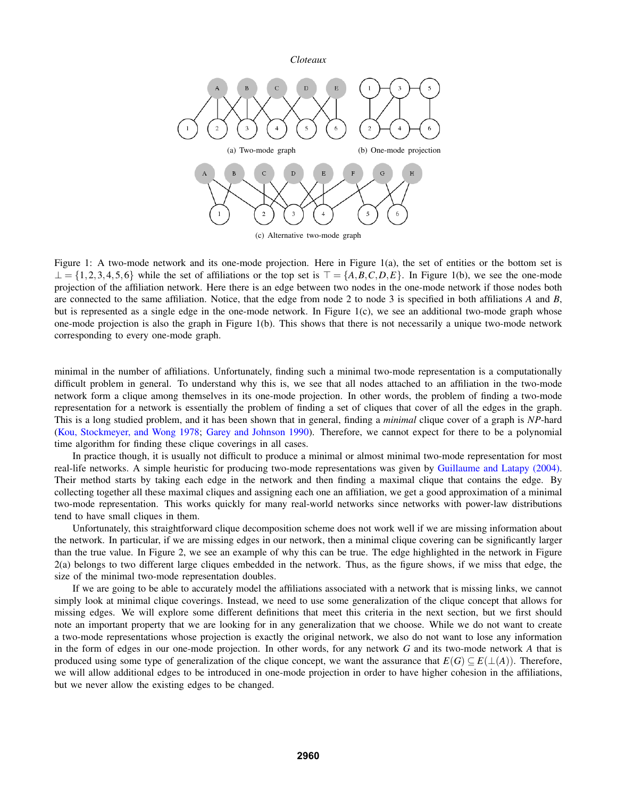

Figure 1: A two-mode network and its one-mode projection. Here in Figure 1(a), the set of entities or the bottom set is  $\bot = \{1, 2, 3, 4, 5, 6\}$  while the set of affiliations or the top set is  $\top = \{A, B, C, D, E\}$ . In Figure 1(b), we see the one-mode projection of the affiliation network. Here there is an edge between two nodes in the one-mode network if those nodes both are connected to the same affiliation. Notice, that the edge from node 2 to node 3 is specified in both affiliations *A* and *B*, but is represented as a single edge in the one-mode network. In Figure 1(c), we see an additional two-mode graph whose one-mode projection is also the graph in Figure 1(b). This shows that there is not necessarily a unique two-mode network corresponding to every one-mode graph.

minimal in the number of affiliations. Unfortunately, finding such a minimal two-mode representation is a computationally difficult problem in general. To understand why this is, we see that all nodes attached to an affiliation in the two-mode network form a clique among themselves in its one-mode projection. In other words, the problem of finding a two-mode representation for a network is essentially the problem of finding a set of cliques that cover of all the edges in the graph. This is a long studied problem, and it has been shown that in general, finding a *minimal* clique cover of a graph is *NP*-hard (Kou, Stockmeyer, and Wong 1978; Garey and Johnson 1990). Therefore, we cannot expect for there to be a polynomial time algorithm for finding these clique coverings in all cases.

In practice though, it is usually not difficult to produce a minimal or almost minimal two-mode representation for most real-life networks. A simple heuristic for producing two-mode representations was given by Guillaume and Latapy (2004). Their method starts by taking each edge in the network and then finding a maximal clique that contains the edge. By collecting together all these maximal cliques and assigning each one an affiliation, we get a good approximation of a minimal two-mode representation. This works quickly for many real-world networks since networks with power-law distributions tend to have small cliques in them.

Unfortunately, this straightforward clique decomposition scheme does not work well if we are missing information about the network. In particular, if we are missing edges in our network, then a minimal clique covering can be significantly larger than the true value. In Figure 2, we see an example of why this can be true. The edge highlighted in the network in Figure 2(a) belongs to two different large cliques embedded in the network. Thus, as the figure shows, if we miss that edge, the size of the minimal two-mode representation doubles.

If we are going to be able to accurately model the affiliations associated with a network that is missing links, we cannot simply look at minimal clique coverings. Instead, we need to use some generalization of the clique concept that allows for missing edges. We will explore some different definitions that meet this criteria in the next section, but we first should note an important property that we are looking for in any generalization that we choose. While we do not want to create a two-mode representations whose projection is exactly the original network, we also do not want to lose any information in the form of edges in our one-mode projection. In other words, for any network *G* and its two-mode network *A* that is produced using some type of generalization of the clique concept, we want the assurance that  $E(G) \subseteq E(\perp(A))$ . Therefore, we will allow additional edges to be introduced in one-mode projection in order to have higher cohesion in the affiliations, but we never allow the existing edges to be changed.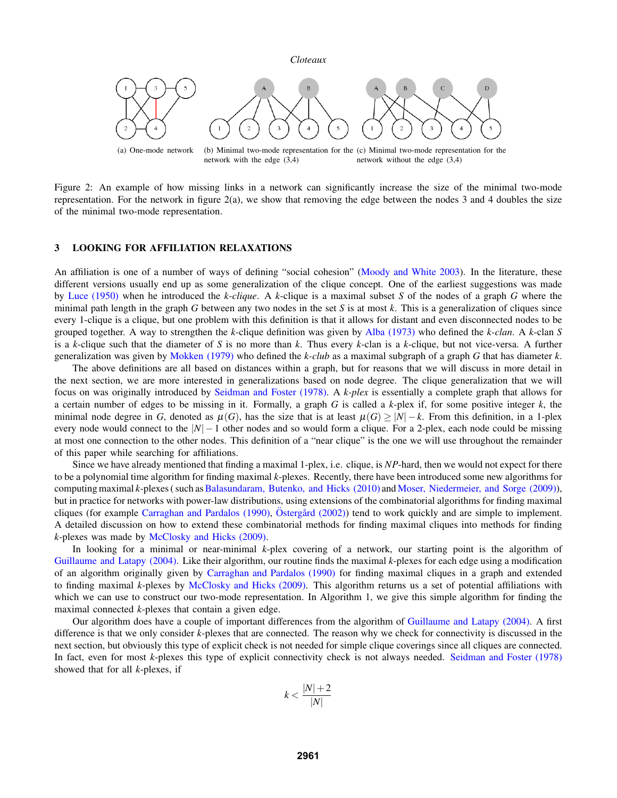

Figure 2: An example of how missing links in a network can significantly increase the size of the minimal two-mode representation. For the network in figure 2(a), we show that removing the edge between the nodes 3 and 4 doubles the size of the minimal two-mode representation.

#### 3 LOOKING FOR AFFILIATION RELAXATIONS

An affiliation is one of a number of ways of defining "social cohesion" (Moody and White 2003). In the literature, these different versions usually end up as some generalization of the clique concept. One of the earliest suggestions was made by Luce (1950) when he introduced the *k-clique*. A *k*-clique is a maximal subset *S* of the nodes of a graph *G* where the minimal path length in the graph *G* between any two nodes in the set *S* is at most *k*. This is a generalization of cliques since every 1-clique is a clique, but one problem with this definition is that it allows for distant and even disconnected nodes to be grouped together. A way to strengthen the *k*-clique definition was given by Alba (1973) who defined the *k-clan*. A *k*-clan *S* is a *k*-clique such that the diameter of *S* is no more than *k*. Thus every *k*-clan is a *k*-clique, but not vice-versa. A further generalization was given by Mokken (1979) who defined the *k-club* as a maximal subgraph of a graph *G* that has diameter *k*.

The above definitions are all based on distances within a graph, but for reasons that we will discuss in more detail in the next section, we are more interested in generalizations based on node degree. The clique generalization that we will focus on was originally introduced by Seidman and Foster (1978). A *k-plex* is essentially a complete graph that allows for a certain number of edges to be missing in it. Formally, a graph *G* is called a *k*-plex if, for some positive integer *k*, the minimal node degree in *G*, denoted as  $\mu(G)$ , has the size that is at least  $\mu(G) \geq |N| - k$ . From this definition, in a 1-plex every node would connect to the |*N*|−1 other nodes and so would form a clique. For a 2-plex, each node could be missing at most one connection to the other nodes. This definition of a "near clique" is the one we will use throughout the remainder of this paper while searching for affiliations.

Since we have already mentioned that finding a maximal 1-plex, i.e. clique, is *NP*-hard, then we would not expect for there to be a polynomial time algorithm for finding maximal *k*-plexes. Recently, there have been introduced some new algorithms for computing maximal *k*-plexes ( such asBalasundaram, Butenko, and Hicks (2010) and Moser, Niedermeier, and Sorge (2009)), but in practice for networks with power-law distributions, using extensions of the combinatorial algorithms for finding maximal cliques (for example Carraghan and Pardalos  $(1990)$ , Ostergård  $(2002)$ ) tend to work quickly and are simple to implement. A detailed discussion on how to extend these combinatorial methods for finding maximal cliques into methods for finding *k*-plexes was made by McClosky and Hicks (2009).

In looking for a minimal or near-minimal *k*-plex covering of a network, our starting point is the algorithm of Guillaume and Latapy (2004). Like their algorithm, our routine finds the maximal *k*-plexes for each edge using a modification of an algorithm originally given by Carraghan and Pardalos (1990) for finding maximal cliques in a graph and extended to finding maximal *k*-plexes by McClosky and Hicks (2009). This algorithm returns us a set of potential affiliations with which we can use to construct our two-mode representation. In Algorithm 1, we give this simple algorithm for finding the maximal connected *k*-plexes that contain a given edge.

Our algorithm does have a couple of important differences from the algorithm of Guillaume and Latapy (2004). A first difference is that we only consider *k*-plexes that are connected. The reason why we check for connectivity is discussed in the next section, but obviously this type of explicit check is not needed for simple clique coverings since all cliques are connected. In fact, even for most *k*-plexes this type of explicit connectivity check is not always needed. Seidman and Foster (1978) showed that for all *k*-plexes, if

$$
k < \frac{|N| + 2}{|N|}
$$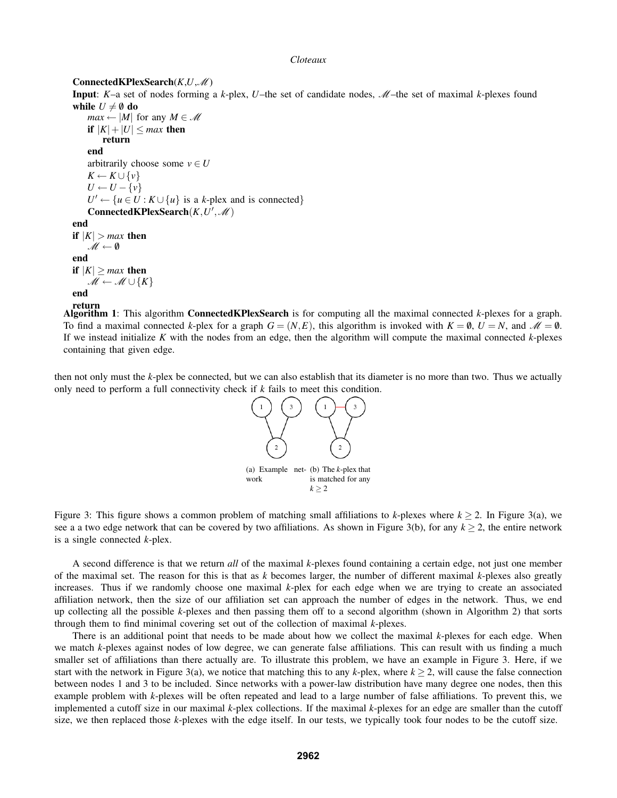# ConnectedKPlexSearch(*K*,*U*, $\mathcal{M}$ )

Input: *K*–a set of nodes forming a *k*-plex, *U*–the set of candidate nodes, M–the set of maximal *k*-plexes found while  $U \neq \emptyset$  do

*max* ←  $|M|$  for any  $M \in \mathcal{M}$ if  $|K|+|U| \leq max$  then return end arbitrarily choose some  $v \in U$ *K* ← *K* $\cup$  {*v*}  $U \leftarrow U - \{v\}$  $U' \leftarrow \{u \in U : K \cup \{u\}$  is a *k*-plex and is connected}  $ConnectedKplexSearch(K, U', \mathcal{M})$ end if  $|K| > max$  then  $\mathscr{M} \leftarrow \emptyset$ end if  $|K| \geq max$  then  $M \leftarrow M \cup \{K\}$ end return

Algorithm 1: This algorithm ConnectedKPlexSearch is for computing all the maximal connected *k*-plexes for a graph. To find a maximal connected *k*-plex for a graph  $G = (N, E)$ , this algorithm is invoked with  $K = \emptyset$ ,  $U = N$ , and  $\mathcal{M} = \emptyset$ . If we instead initialize *K* with the nodes from an edge, then the algorithm will compute the maximal connected *k*-plexes containing that given edge.

then not only must the *k*-plex be connected, but we can also establish that its diameter is no more than two. Thus we actually only need to perform a full connectivity check if *k* fails to meet this condition.



Figure 3: This figure shows a common problem of matching small affiliations to *k*-plexes where  $k \ge 2$ . In Figure 3(a), we see a a two edge network that can be covered by two affiliations. As shown in Figure 3(b), for any  $k \ge 2$ , the entire network is a single connected *k*-plex.

A second difference is that we return *all* of the maximal *k*-plexes found containing a certain edge, not just one member of the maximal set. The reason for this is that as *k* becomes larger, the number of different maximal *k*-plexes also greatly increases. Thus if we randomly choose one maximal *k*-plex for each edge when we are trying to create an associated affiliation network, then the size of our affiliation set can approach the number of edges in the network. Thus, we end up collecting all the possible *k*-plexes and then passing them off to a second algorithm (shown in Algorithm 2) that sorts through them to find minimal covering set out of the collection of maximal *k*-plexes.

There is an additional point that needs to be made about how we collect the maximal *k*-plexes for each edge. When we match *k*-plexes against nodes of low degree, we can generate false affiliations. This can result with us finding a much smaller set of affiliations than there actually are. To illustrate this problem, we have an example in Figure 3. Here, if we start with the network in Figure 3(a), we notice that matching this to any  $k$ -plex, where  $k \ge 2$ , will cause the false connection between nodes 1 and 3 to be included. Since networks with a power-law distribution have many degree one nodes, then this example problem with *k*-plexes will be often repeated and lead to a large number of false affiliations. To prevent this, we implemented a cutoff size in our maximal *k*-plex collections. If the maximal *k*-plexes for an edge are smaller than the cutoff size, we then replaced those *k*-plexes with the edge itself. In our tests, we typically took four nodes to be the cutoff size.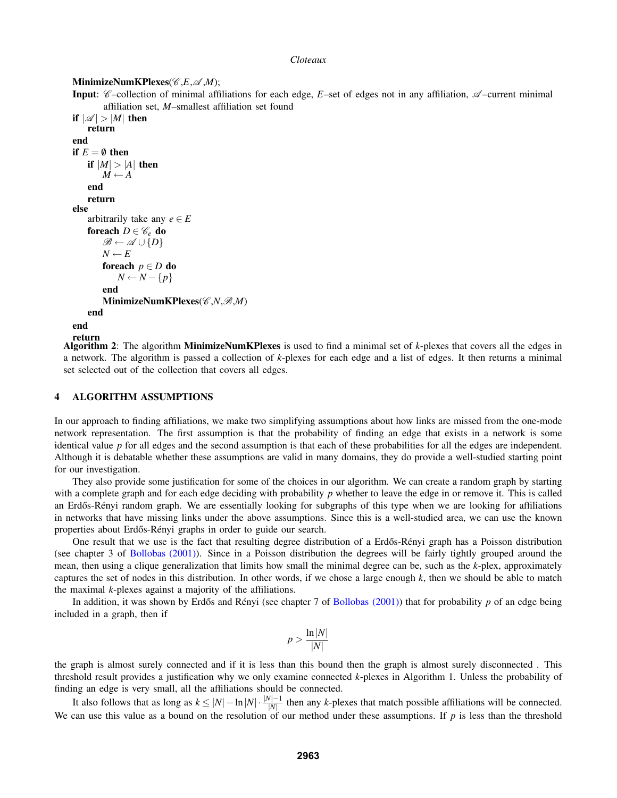### MinimizeNumKPlexes( $\mathscr{C}, E, \mathscr{A}, M$ );

**Input**:  $\mathscr{C}$ -collection of minimal affiliations for each edge, *E*–set of edges not in any affiliation,  $\mathscr{A}$ -current minimal affiliation set, *M*–smallest affiliation set found

```
if |\mathcal{A}| > |M| then
    return
end
if E = \emptyset then
    if |M| > |A| then
         M \leftarrow Aend
     return
else
    arbitrarily take any e \in Eforeach D \in \mathscr{C}_{e} do
         \mathscr{B} \leftarrow \mathscr{A} \cup \{D\}N \leftarrow Eforeach p \in D do
               N \leftarrow N - \{p\}end
          MinimizeNumKPlexes(\mathscr{C}, N, \mathscr{B}, M)
    end
end
return
```
Algorithm 2: The algorithm MinimizeNumKPlexes is used to find a minimal set of *k*-plexes that covers all the edges in a network. The algorithm is passed a collection of *k*-plexes for each edge and a list of edges. It then returns a minimal set selected out of the collection that covers all edges.

### 4 ALGORITHM ASSUMPTIONS

In our approach to finding affiliations, we make two simplifying assumptions about how links are missed from the one-mode network representation. The first assumption is that the probability of finding an edge that exists in a network is some identical value *p* for all edges and the second assumption is that each of these probabilities for all the edges are independent. Although it is debatable whether these assumptions are valid in many domains, they do provide a well-studied starting point for our investigation.

They also provide some justification for some of the choices in our algorithm. We can create a random graph by starting with a complete graph and for each edge deciding with probability *p* whether to leave the edge in or remove it. This is called an Erdős-Rényi random graph. We are essentially looking for subgraphs of this type when we are looking for affiliations in networks that have missing links under the above assumptions. Since this is a well-studied area, we can use the known properties about Erdős-Rényi graphs in order to guide our search.

One result that we use is the fact that resulting degree distribution of a Erdős-Rényi graph has a Poisson distribution (see chapter 3 of Bollobas (2001)). Since in a Poisson distribution the degrees will be fairly tightly grouped around the mean, then using a clique generalization that limits how small the minimal degree can be, such as the *k*-plex, approximately captures the set of nodes in this distribution. In other words, if we chose a large enough  $k$ , then we should be able to match the maximal *k*-plexes against a majority of the affiliations.

In addition, it was shown by Erdős and Rényi (see chapter 7 of Bollobas (2001)) that for probability p of an edge being included in a graph, then if

$$
p > \frac{\ln |N|}{|N|}
$$

the graph is almost surely connected and if it is less than this bound then the graph is almost surely disconnected . This threshold result provides a justification why we only examine connected *k*-plexes in Algorithm 1. Unless the probability of finding an edge is very small, all the affiliations should be connected.

It also follows that as long as  $k \le |N| - \ln |N| \cdot \frac{|N| - 1}{|N|}$  then any *k*-plexes that match possible affiliations will be connected. We can use this value as a bound on the resolution of our method under these assumptions. If  $p$  is less than the threshold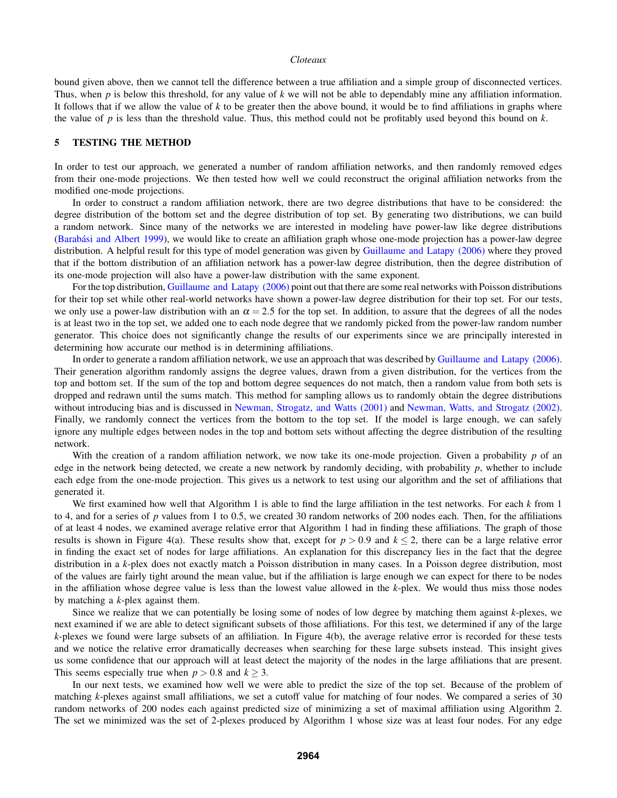bound given above, then we cannot tell the difference between a true affiliation and a simple group of disconnected vertices. Thus, when *p* is below this threshold, for any value of *k* we will not be able to dependably mine any affiliation information. It follows that if we allow the value of *k* to be greater then the above bound, it would be to find affiliations in graphs where the value of *p* is less than the threshold value. Thus, this method could not be profitably used beyond this bound on *k*.

#### 5 TESTING THE METHOD

In order to test our approach, we generated a number of random affiliation networks, and then randomly removed edges from their one-mode projections. We then tested how well we could reconstruct the original affiliation networks from the modified one-mode projections.

In order to construct a random affiliation network, there are two degree distributions that have to be considered: the degree distribution of the bottom set and the degree distribution of top set. By generating two distributions, we can build a random network. Since many of the networks we are interested in modeling have power-law like degree distributions (Barabási and Albert 1999), we would like to create an affiliation graph whose one-mode projection has a power-law degree distribution. A helpful result for this type of model generation was given by Guillaume and Latapy (2006) where they proved that if the bottom distribution of an affiliation network has a power-law degree distribution, then the degree distribution of its one-mode projection will also have a power-law distribution with the same exponent.

For the top distribution, Guillaume and Latapy (2006) point out that there are some real networks with Poisson distributions for their top set while other real-world networks have shown a power-law degree distribution for their top set. For our tests, we only use a power-law distribution with an  $\alpha = 2.5$  for the top set. In addition, to assure that the degrees of all the nodes is at least two in the top set, we added one to each node degree that we randomly picked from the power-law random number generator. This choice does not significantly change the results of our experiments since we are principally interested in determining how accurate our method is in determining affiliations.

In order to generate a random affiliation network, we use an approach that was described by Guillaume and Latapy (2006). Their generation algorithm randomly assigns the degree values, drawn from a given distribution, for the vertices from the top and bottom set. If the sum of the top and bottom degree sequences do not match, then a random value from both sets is dropped and redrawn until the sums match. This method for sampling allows us to randomly obtain the degree distributions without introducing bias and is discussed in Newman, Strogatz, and Watts (2001) and Newman, Watts, and Strogatz (2002). Finally, we randomly connect the vertices from the bottom to the top set. If the model is large enough, we can safely ignore any multiple edges between nodes in the top and bottom sets without affecting the degree distribution of the resulting network.

With the creation of a random affiliation network, we now take its one-mode projection. Given a probability p of an edge in the network being detected, we create a new network by randomly deciding, with probability *p*, whether to include each edge from the one-mode projection. This gives us a network to test using our algorithm and the set of affiliations that generated it.

We first examined how well that Algorithm 1 is able to find the large affiliation in the test networks. For each *k* from 1 to 4, and for a series of *p* values from 1 to 0.5, we created 30 random networks of 200 nodes each. Then, for the affiliations of at least 4 nodes, we examined average relative error that Algorithm 1 had in finding these affiliations. The graph of those results is shown in Figure 4(a). These results show that, except for  $p > 0.9$  and  $k \le 2$ , there can be a large relative error in finding the exact set of nodes for large affiliations. An explanation for this discrepancy lies in the fact that the degree distribution in a *k*-plex does not exactly match a Poisson distribution in many cases. In a Poisson degree distribution, most of the values are fairly tight around the mean value, but if the affiliation is large enough we can expect for there to be nodes in the affiliation whose degree value is less than the lowest value allowed in the *k*-plex. We would thus miss those nodes by matching a *k*-plex against them.

Since we realize that we can potentially be losing some of nodes of low degree by matching them against *k*-plexes, we next examined if we are able to detect significant subsets of those affiliations. For this test, we determined if any of the large *k*-plexes we found were large subsets of an affiliation. In Figure 4(b), the average relative error is recorded for these tests and we notice the relative error dramatically decreases when searching for these large subsets instead. This insight gives us some confidence that our approach will at least detect the majority of the nodes in the large affiliations that are present. This seems especially true when  $p > 0.8$  and  $k > 3$ .

In our next tests, we examined how well we were able to predict the size of the top set. Because of the problem of matching *k*-plexes against small affiliations, we set a cutoff value for matching of four nodes. We compared a series of 30 random networks of 200 nodes each against predicted size of minimizing a set of maximal affiliation using Algorithm 2. The set we minimized was the set of 2-plexes produced by Algorithm 1 whose size was at least four nodes. For any edge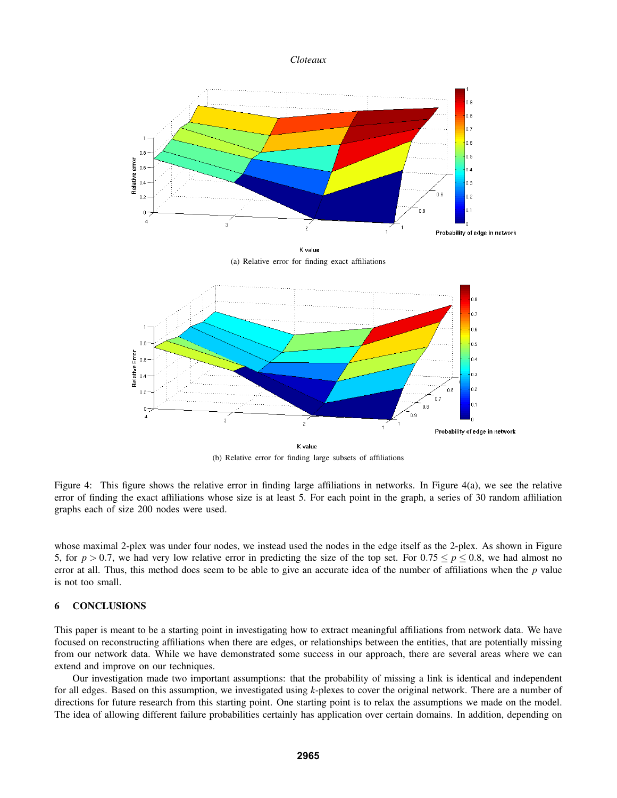



K value (a) Relative error for finding exact affiliations



K value (b) Relative error for finding large subsets of affiliations

Figure 4: This figure shows the relative error in finding large affiliations in networks. In Figure 4(a), we see the relative error of finding the exact affiliations whose size is at least 5. For each point in the graph, a series of 30 random affiliation graphs each of size 200 nodes were used.

whose maximal 2-plex was under four nodes, we instead used the nodes in the edge itself as the 2-plex. As shown in Figure 5, for  $p > 0.7$ , we had very low relative error in predicting the size of the top set. For  $0.75 \le p \le 0.8$ , we had almost no error at all. Thus, this method does seem to be able to give an accurate idea of the number of affiliations when the *p* value is not too small.

## 6 CONCLUSIONS

This paper is meant to be a starting point in investigating how to extract meaningful affiliations from network data. We have focused on reconstructing affiliations when there are edges, or relationships between the entities, that are potentially missing from our network data. While we have demonstrated some success in our approach, there are several areas where we can extend and improve on our techniques.

Our investigation made two important assumptions: that the probability of missing a link is identical and independent for all edges. Based on this assumption, we investigated using *k*-plexes to cover the original network. There are a number of directions for future research from this starting point. One starting point is to relax the assumptions we made on the model. The idea of allowing different failure probabilities certainly has application over certain domains. In addition, depending on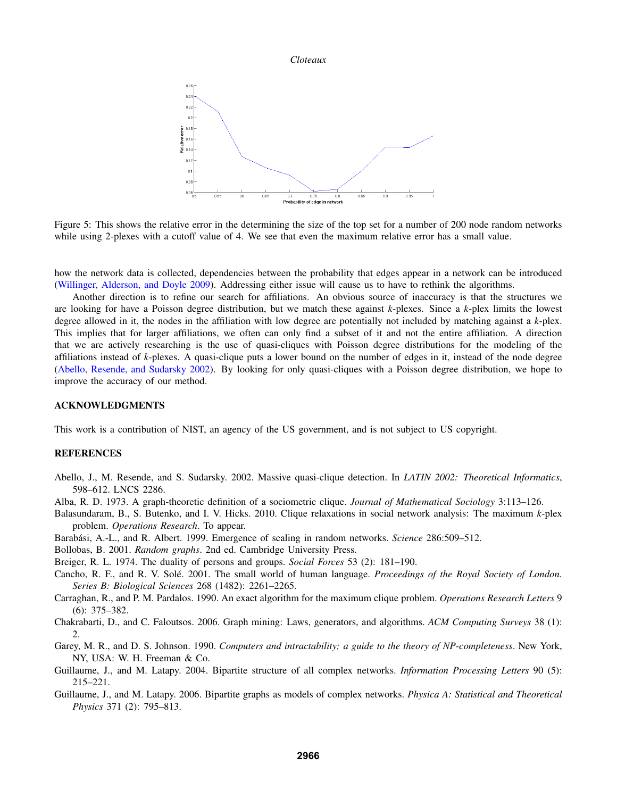

Figure 5: This shows the relative error in the determining the size of the top set for a number of 200 node random networks while using 2-plexes with a cutoff value of 4. We see that even the maximum relative error has a small value.

how the network data is collected, dependencies between the probability that edges appear in a network can be introduced (Willinger, Alderson, and Doyle 2009). Addressing either issue will cause us to have to rethink the algorithms.

Another direction is to refine our search for affiliations. An obvious source of inaccuracy is that the structures we are looking for have a Poisson degree distribution, but we match these against *k*-plexes. Since a *k*-plex limits the lowest degree allowed in it, the nodes in the affiliation with low degree are potentially not included by matching against a *k*-plex. This implies that for larger affiliations, we often can only find a subset of it and not the entire affiliation. A direction that we are actively researching is the use of quasi-cliques with Poisson degree distributions for the modeling of the affiliations instead of *k*-plexes. A quasi-clique puts a lower bound on the number of edges in it, instead of the node degree (Abello, Resende, and Sudarsky 2002). By looking for only quasi-cliques with a Poisson degree distribution, we hope to improve the accuracy of our method.

## ACKNOWLEDGMENTS

This work is a contribution of NIST, an agency of the US government, and is not subject to US copyright.

### REFERENCES

- Abello, J., M. Resende, and S. Sudarsky. 2002. Massive quasi-clique detection. In *LATIN 2002: Theoretical Informatics*, 598–612. LNCS 2286.
- Alba, R. D. 1973. A graph-theoretic definition of a sociometric clique. *Journal of Mathematical Sociology* 3:113–126.

Balasundaram, B., S. Butenko, and I. V. Hicks. 2010. Clique relaxations in social network analysis: The maximum *k*-plex problem. *Operations Research*. To appear.

Barabási, A.-L., and R. Albert. 1999. Emergence of scaling in random networks. *Science* 286:509–512.

Bollobas, B. 2001. *Random graphs*. 2nd ed. Cambridge University Press.

- Breiger, R. L. 1974. The duality of persons and groups. *Social Forces* 53 (2): 181–190.
- Cancho, R. F., and R. V. Solé. 2001. The small world of human language. *Proceedings of the Royal Society of London*. *Series B: Biological Sciences* 268 (1482): 2261–2265.
- Carraghan, R., and P. M. Pardalos. 1990. An exact algorithm for the maximum clique problem. *Operations Research Letters* 9 (6): 375–382.
- Chakrabarti, D., and C. Faloutsos. 2006. Graph mining: Laws, generators, and algorithms. *ACM Computing Surveys* 38 (1): 2.
- Garey, M. R., and D. S. Johnson. 1990. *Computers and intractability; a guide to the theory of NP-completeness*. New York, NY, USA: W. H. Freeman & Co.
- Guillaume, J., and M. Latapy. 2004. Bipartite structure of all complex networks. *Information Processing Letters* 90 (5): 215–221.
- Guillaume, J., and M. Latapy. 2006. Bipartite graphs as models of complex networks. *Physica A: Statistical and Theoretical Physics* 371 (2): 795–813.